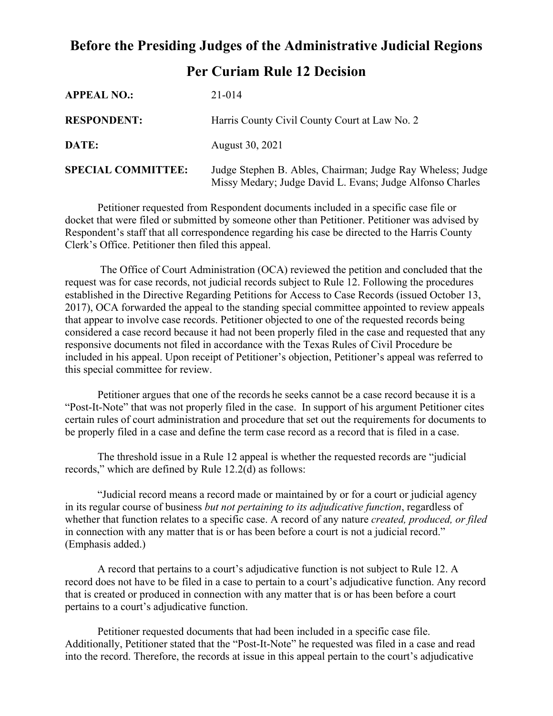## **Before the Presiding Judges of the Administrative Judicial Regions Per Curiam Rule 12 Decision**

| <b>APPEAL NO.:</b>        | 21-014                                                                                                                  |
|---------------------------|-------------------------------------------------------------------------------------------------------------------------|
| <b>RESPONDENT:</b>        | Harris County Civil County Court at Law No. 2                                                                           |
| DATE:                     | August 30, 2021                                                                                                         |
| <b>SPECIAL COMMITTEE:</b> | Judge Stephen B. Ables, Chairman; Judge Ray Wheless; Judge<br>Missy Medary; Judge David L. Evans; Judge Alfonso Charles |

Petitioner requested from Respondent documents included in a specific case file or docket that were filed or submitted by someone other than Petitioner. Petitioner was advised by Respondent's staff that all correspondence regarding his case be directed to the Harris County Clerk's Office. Petitioner then filed this appeal.

The Office of Court Administration (OCA) reviewed the petition and concluded that the request was for case records, not judicial records subject to Rule 12. Following the procedures established in the Directive Regarding Petitions for Access to Case Records (issued October 13, 2017), OCA forwarded the appeal to the standing special committee appointed to review appeals that appear to involve case records. Petitioner objected to one of the requested records being considered a case record because it had not been properly filed in the case and requested that any responsive documents not filed in accordance with the Texas Rules of Civil Procedure be included in his appeal. Upon receipt of Petitioner's objection, Petitioner's appeal was referred to this special committee for review.

Petitioner argues that one of the records he seeks cannot be a case record because it is a "Post-It-Note" that was not properly filed in the case. In support of his argument Petitioner cites certain rules of court administration and procedure that set out the requirements for documents to be properly filed in a case and define the term case record as a record that is filed in a case.

The threshold issue in a Rule 12 appeal is whether the requested records are "judicial records," which are defined by Rule 12.2(d) as follows:

"Judicial record means a record made or maintained by or for a court or judicial agency in its regular course of business *but not pertaining to its adjudicative function*, regardless of whether that function relates to a specific case. A record of any nature *created, produced, or filed* in connection with any matter that is or has been before a court is not a judicial record." (Emphasis added.)

A record that pertains to a court's adjudicative function is not subject to Rule 12. A record does not have to be filed in a case to pertain to a court's adjudicative function. Any record that is created or produced in connection with any matter that is or has been before a court pertains to a court's adjudicative function.

Petitioner requested documents that had been included in a specific case file. Additionally, Petitioner stated that the "Post-It-Note" he requested was filed in a case and read into the record. Therefore, the records at issue in this appeal pertain to the court's adjudicative